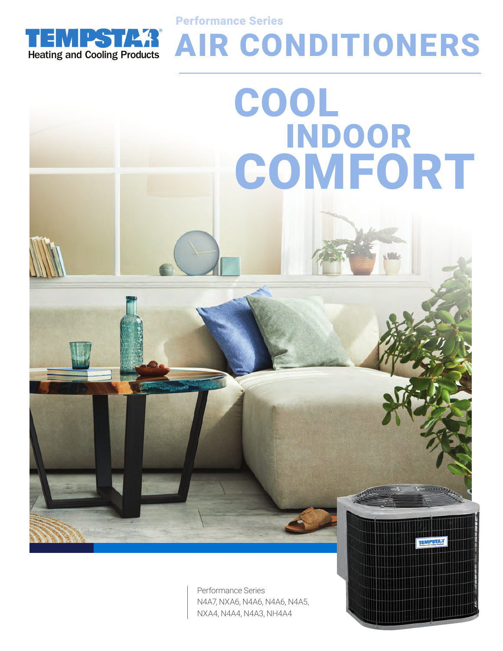

Performance Series

## AIR CONDITIONERS COOL INDOOR **COMFORT**

Performance Series N4A7, NXA6, N4A6, N4A6, N4A5, NXA4, N4A4, N4A3, NH4A4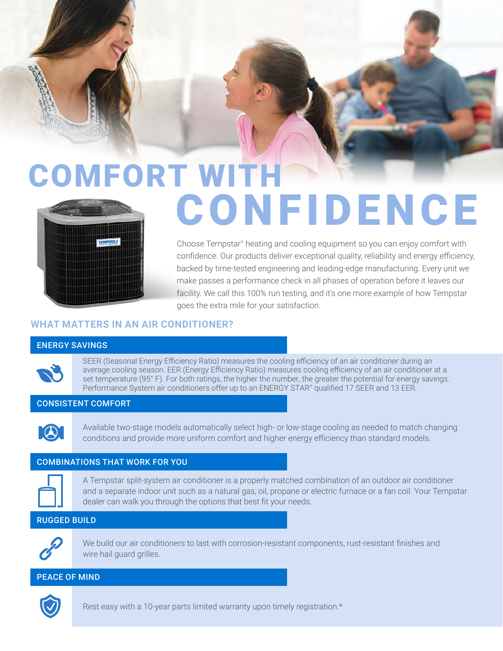

# COMFORT WITH **CONFIDENCE**

Choose Tempstar® heating and cooling equipment so you can enjoy comfort with confidence. Our products deliver exceptional quality, reliability and energy efficiency, backed by time-tested engineering and leading-edge manufacturing. Every unit we make passes a performance check in all phases of operation before it leaves our facility. We call this 100% run testing, and it's one more example of how Tempstar goes the extra mile for your satisfaction.

## **WHAT MATTERS IN AN AIR CONDITIONER?**

#### ENERGY SAVINGS

SEER (Seasonal Energy Efficiency Ratio) measures the cooling efficiency of an air conditioner during an average cooling season. EER (Energy Efficiency Ratio) measures cooling efficiency of an air conditioner at a set temperature (95° F). For both ratings, the higher the number, the greater the potential for energy savings. Performance System air conditioners offer up to an ENERGY STAR® qualified 17 SEER and 13 EER.

## CONSISTENT COMFORT



Available two-stage models automatically select high- or low-stage cooling as needed to match changing conditions and provide more uniform comfort and higher energy efficiency than standard models.

#### COMBINATIONS THAT WORK FOR YOU



A Tempstar split-system air conditioner is a properly matched combination of an outdoor air conditioner and a separate indoor unit such as a natural gas, oil, propane or electric furnace or a fan coil. Your Tempstar dealer can walk you through the options that best fit your needs.

#### RUGGED BUILD



We build our air conditioners to last with corrosion-resistant components, rust-resistant finishes and wire hail guard grilles.

#### PEACE OF MIND



Rest easy with a 10-year parts limited warranty upon timely registration.\*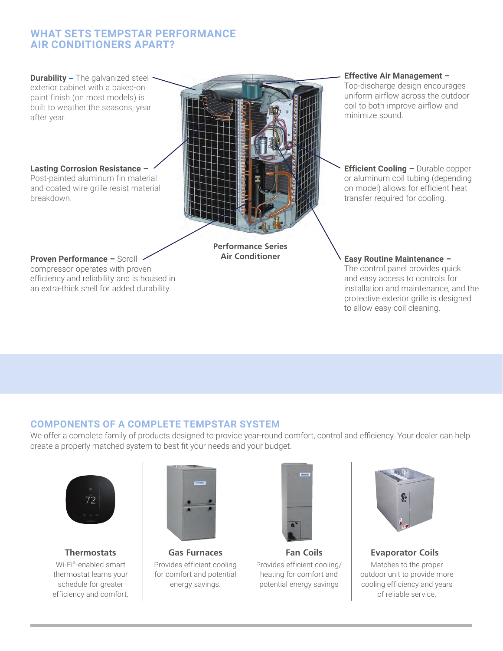## **WHAT SETS TEMPSTAR PERFORMANCE AIR CONDITIONERS APART?**



### **COMPONENTS OF A COMPLETE TEMPSTAR SYSTEM**

We offer a complete family of products designed to provide year-round comfort, control and efficiency. Your dealer can help create a properly matched system to best fit your needs and your budget.



Wi-Fi® -enabled smart thermostat learns your schedule for greater efficiency and comfort.



Provides efficient cooling for comfort and potential energy savings.



**Thermostats Gas Furnaces Fan Coils Evaporator Coils** Provides efficient cooling/ heating for comfort and potential energy savings



Matches to the proper outdoor unit to provide more cooling efficiency and years of reliable service.